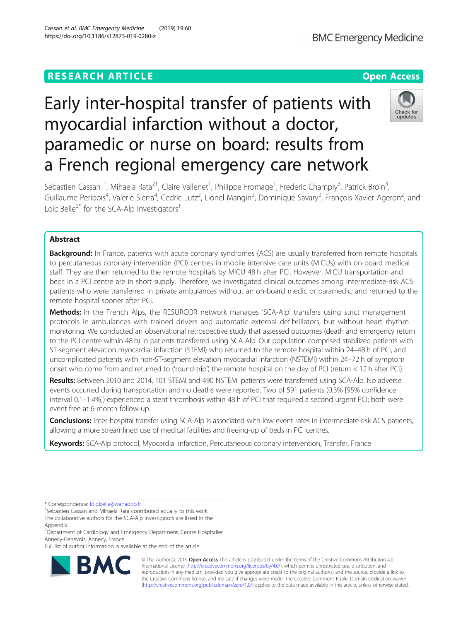# **RESEARCH ARTICLE Example 2014 12:30 The Contract of Contract ACCESS**

# Early inter-hospital transfer of patients with myocardial infarction without a doctor, paramedic or nurse on board: results from a French regional emergency care network

Sebastien Cassan<sup>1+</sup>, Mihaela Rata<sup>2+</sup>, Claire Vallenet<sup>1</sup>, Philippe Fromage<sup>1</sup>, Frederic Champly<sup>3</sup>, Patrick Broin<sup>3</sup> , Guillaume Peribois<sup>4</sup>, Valerie Sierra<sup>4</sup>, Cedric Lutz<sup>2</sup>, Lionel Mangin<sup>2</sup>, Dominique Savary<sup>2</sup>, François-Xavier Ageron<sup>2</sup>, and Loic Belle<sup>2\*</sup> for the SCA-Alp Investigators<sup>†</sup>

# Abstract

Background: In France, patients with acute coronary syndromes (ACS) are usually transferred from remote hospitals to percutaneous coronary intervention (PCI) centres in mobile intensive care units (MICUs) with on-board medical staff. They are then returned to the remote hospitals by MICU 48 h after PCI. However, MICU transportation and beds in a PCI centre are in short supply. Therefore, we investigated clinical outcomes among intermediate-risk ACS patients who were transferred in private ambulances without an on-board medic or paramedic; and returned to the remote hospital sooner after PCI.

Methods: In the French Alps, the RESURCOR network manages 'SCA-Alp' transfers using strict management protocols in ambulances with trained drivers and automatic external defibrillators, but without heart rhythm monitoring. We conducted an observational retrospective study that assessed outcomes (death and emergency return to the PCI centre within 48 h) in patients transferred using SCA-Alp. Our population comprised stabilized patients with ST-segment elevation myocardial infarction (STEMI) who returned to the remote hospital within 24–48 h of PCI, and uncomplicated patients with non-ST-segment elevation myocardial infarction (NSTEMI) within 24–72 h of symptom onset who come from and returned to ('round-trip') the remote hospital on the day of PCI (return < 12 h after PCI).

Results: Between 2010 and 2014, 101 STEMI and 490 NSTEMI patients were transferred using SCA-Alp. No adverse events occurred during transportation and no deaths were reported. Two of 591 patients (0.3% [95% confidence interval 0.1–1.4%]) experienced a stent thrombosis within 48 h of PCI that required a second urgent PCI; both were event free at 6-month follow-up.

Conclusions: Inter-hospital transfer using SCA-Alp is associated with low event rates in intermediate-risk ACS patients, allowing a more streamlined use of medical facilities and freeing-up of beds in PCI centres.

Keywords: SCA-Alp protocol, Myocardial infarction, Percutaneous coronary intervention, Transfer, France

\* Correspondence: [loic.belle@wanadoo.fr](mailto:loic.belle@wanadoo.fr) †

<sup>+</sup>Sebastien Cassan and Mihaela Rata contributed equally to this work. The collaborative authors for the SCA-Alp Investigators are listed in the

<sup>2</sup> Department of Cardiology and Emergency Department, Centre Hospitalier Annecy-Genevois, Annecy, France

Full list of author information is available at the end of the article



© The Author(s). 2019 **Open Access** This article is distributed under the terms of the Creative Commons Attribution 4.0 International License [\(http://creativecommons.org/licenses/by/4.0/](http://creativecommons.org/licenses/by/4.0/)), which permits unrestricted use, distribution, and reproduction in any medium, provided you give appropriate credit to the original author(s) and the source, provide a link to the Creative Commons license, and indicate if changes were made. The Creative Commons Public Domain Dedication waiver [\(http://creativecommons.org/publicdomain/zero/1.0/](http://creativecommons.org/publicdomain/zero/1.0/)) applies to the data made available in this article, unless otherwise stated.





Appendix.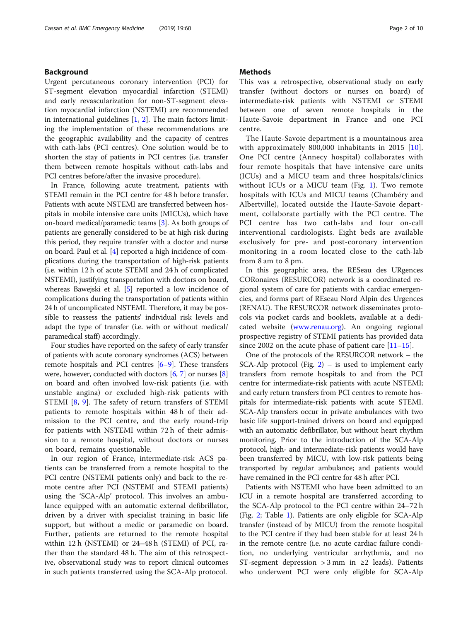# Background

Urgent percutaneous coronary intervention (PCI) for ST-segment elevation myocardial infarction (STEMI) and early revascularization for non-ST-segment elevation myocardial infarction (NSTEMI) are recommended in international guidelines  $[1, 2]$  $[1, 2]$  $[1, 2]$  $[1, 2]$ . The main factors limiting the implementation of these recommendations are the geographic availability and the capacity of centres with cath-labs (PCI centres). One solution would be to shorten the stay of patients in PCI centres (i.e. transfer them between remote hospitals without cath-labs and PCI centres before/after the invasive procedure).

In France, following acute treatment, patients with STEMI remain in the PCI centre for 48 h before transfer. Patients with acute NSTEMI are transferred between hospitals in mobile intensive care units (MICUs), which have on-board medical/paramedic teams [\[3\]](#page-8-0). As both groups of patients are generally considered to be at high risk during this period, they require transfer with a doctor and nurse on board. Paul et al. [\[4\]](#page-8-0) reported a high incidence of complications during the transportation of high-risk patients (i.e. within 12 h of acute STEMI and 24 h of complicated NSTEMI), justifying transportation with doctors on board, whereas Bawejski et al. [\[5\]](#page-8-0) reported a low incidence of complications during the transportation of patients within 24 h of uncomplicated NSTEMI. Therefore, it may be possible to reassess the patients' individual risk levels and adapt the type of transfer (i.e. with or without medical/ paramedical staff) accordingly.

Four studies have reported on the safety of early transfer of patients with acute coronary syndromes (ACS) between remote hospitals and PCI centres [\[6](#page-8-0)–[9](#page-9-0)]. These transfers were, however, conducted with doctors  $[6, 7]$  $[6, 7]$  $[6, 7]$  or nurses  $[8]$  $[8]$  $[8]$ on board and often involved low-risk patients (i.e. with unstable angina) or excluded high-risk patients with STEMI [[8,](#page-9-0) [9\]](#page-9-0). The safety of return transfers of STEMI patients to remote hospitals within 48 h of their admission to the PCI centre, and the early round-trip for patients with NSTEMI within 72 h of their admission to a remote hospital, without doctors or nurses on board, remains questionable.

In our region of France, intermediate-risk ACS patients can be transferred from a remote hospital to the PCI centre (NSTEMI patients only) and back to the remote centre after PCI (NSTEMI and STEMI patients) using the 'SCA-Alp' protocol. This involves an ambulance equipped with an automatic external defibrillator, driven by a driver with specialist training in basic life support, but without a medic or paramedic on board. Further, patients are returned to the remote hospital within 12 h (NSTEMI) or 24–48 h (STEMI) of PCI, rather than the standard 48 h. The aim of this retrospective, observational study was to report clinical outcomes in such patients transferred using the SCA-Alp protocol.

# **Methods**

This was a retrospective, observational study on early transfer (without doctors or nurses on board) of intermediate-risk patients with NSTEMI or STEMI between one of seven remote hospitals in the Haute-Savoie department in France and one PCI centre.

The Haute-Savoie department is a mountainous area with approximately 800,000 inhabitants in 2015 [[10](#page-9-0)]. One PCI centre (Annecy hospital) collaborates with four remote hospitals that have intensive care units (ICUs) and a MICU team and three hospitals/clinics without ICUs or a MICU team (Fig. [1](#page-2-0)). Two remote hospitals with ICUs and MICU teams (Chambéry and Albertville), located outside the Haute-Savoie department, collaborate partially with the PCI centre. The PCI centre has two cath-labs and four on-call interventional cardiologists. Eight beds are available exclusively for pre- and post-coronary intervention monitoring in a room located close to the cath-lab from 8 am to 8 pm.

In this geographic area, the RESeau des URgences CORonaires (RESURCOR) network is a coordinated regional system of care for patients with cardiac emergencies, and forms part of REseau Nord Alpin des Urgences (RENAU). The RESURCOR network disseminates protocols via pocket cards and booklets, available at a dedicated website [\(www.renau.org\)](http://www.renau.org). An ongoing regional prospective registry of STEMI patients has provided data since 2002 on the acute phase of patient care  $[11-15]$  $[11-15]$  $[11-15]$  $[11-15]$  $[11-15]$ .

One of the protocols of the RESURCOR network – the SCA-Alp protocol (Fig. [2](#page-3-0)) – is used to implement early transfers from remote hospitals to and from the PCI centre for intermediate-risk patients with acute NSTEMI; and early return transfers from PCI centres to remote hospitals for intermediate-risk patients with acute STEMI. SCA-Alp transfers occur in private ambulances with two basic life support-trained drivers on board and equipped with an automatic defibrillator, but without heart rhythm monitoring. Prior to the introduction of the SCA-Alp protocol, high- and intermediate-risk patients would have been transferred by MICU, with low-risk patients being transported by regular ambulance; and patients would have remained in the PCI centre for 48 h after PCI.

Patients with NSTEMI who have been admitted to an ICU in a remote hospital are transferred according to the SCA-Alp protocol to the PCI centre within 24–72 h (Fig. [2](#page-3-0); Table [1](#page-3-0)). Patients are only eligible for SCA-Alp transfer (instead of by MICU) from the remote hospital to the PCI centre if they had been stable for at least 24 h in the remote centre (i.e. no acute cardiac failure condition, no underlying ventricular arrhythmia, and no ST-segment depression > 3 mm in  $\geq 2$  leads). Patients who underwent PCI were only eligible for SCA-Alp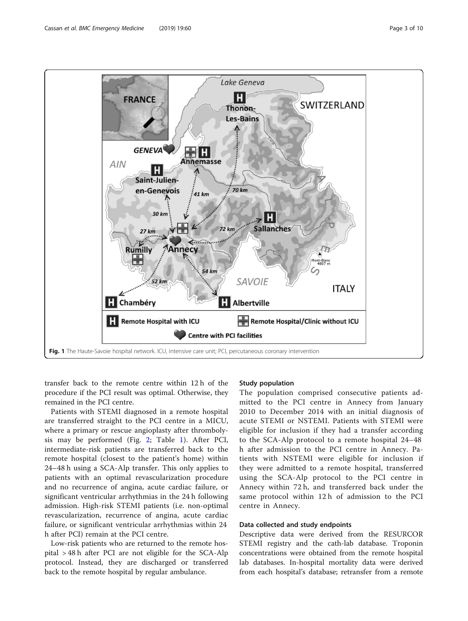<span id="page-2-0"></span>Cassan et al. BMC Emergency Medicine (2019) 19:60 Page 3 of 10



transfer back to the remote centre within 12 h of the procedure if the PCI result was optimal. Otherwise, they remained in the PCI centre.

Patients with STEMI diagnosed in a remote hospital are transferred straight to the PCI centre in a MICU, where a primary or rescue angioplasty after thrombolysis may be performed (Fig. [2;](#page-3-0) Table [1\)](#page-3-0). After PCI, intermediate-risk patients are transferred back to the remote hospital (closest to the patient's home) within 24–48 h using a SCA-Alp transfer. This only applies to patients with an optimal revascularization procedure and no recurrence of angina, acute cardiac failure, or significant ventricular arrhythmias in the 24 h following admission. High-risk STEMI patients (i.e. non-optimal revascularization, recurrence of angina, acute cardiac failure, or significant ventricular arrhythmias within 24 h after PCI) remain at the PCI centre.

Low-risk patients who are returned to the remote hospital > 48 h after PCI are not eligible for the SCA-Alp protocol. Instead, they are discharged or transferred back to the remote hospital by regular ambulance.

# Study population

The population comprised consecutive patients admitted to the PCI centre in Annecy from January 2010 to December 2014 with an initial diagnosis of acute STEMI or NSTEMI. Patients with STEMI were eligible for inclusion if they had a transfer according to the SCA-Alp protocol to a remote hospital 24–48 h after admission to the PCI centre in Annecy. Patients with NSTEMI were eligible for inclusion if they were admitted to a remote hospital, transferred using the SCA-Alp protocol to the PCI centre in Annecy within 72 h, and transferred back under the same protocol within 12 h of admission to the PCI centre in Annecy.

# Data collected and study endpoints

Descriptive data were derived from the RESURCOR STEMI registry and the cath-lab database. Troponin concentrations were obtained from the remote hospital lab databases. In-hospital mortality data were derived from each hospital's database; retransfer from a remote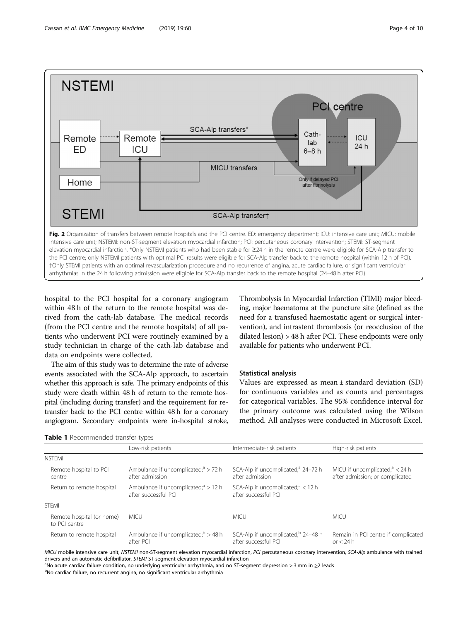<span id="page-3-0"></span>

hospital to the PCI hospital for a coronary angiogram within 48 h of the return to the remote hospital was derived from the cath-lab database. The medical records (from the PCI centre and the remote hospitals) of all patients who underwent PCI were routinely examined by a study technician in charge of the cath-lab database and data on endpoints were collected.

The aim of this study was to determine the rate of adverse events associated with the SCA-Alp approach, to ascertain whether this approach is safe. The primary endpoints of this study were death within 48 h of return to the remote hospital (including during transfer) and the requirement for retransfer back to the PCI centre within 48 h for a coronary angiogram. Secondary endpoints were in-hospital stroke,

Thrombolysis In Myocardial Infarction (TIMI) major bleeding, major haematoma at the puncture site (defined as the need for a transfused haemostatic agent or surgical intervention), and intrastent thrombosis (or reocclusion of the dilated lesion) > 48 h after PCI. These endpoints were only available for patients who underwent PCI.

# Statistical analysis

Values are expressed as mean ± standard deviation (SD) for continuous variables and as counts and percentages for categorical variables. The 95% confidence interval for the primary outcome was calculated using the Wilson method. All analyses were conducted in Microsoft Excel.

|  | Table 1 Recommended transfer types |  |
|--|------------------------------------|--|
|--|------------------------------------|--|

|                                            | $\overline{\phantom{a}}$                                            |                                                                        |                                                                       |
|--------------------------------------------|---------------------------------------------------------------------|------------------------------------------------------------------------|-----------------------------------------------------------------------|
|                                            | Low-risk patients                                                   | Intermediate-risk patients                                             | High-risk patients                                                    |
| <b>NSTEMI</b>                              |                                                                     |                                                                        |                                                                       |
| Remote hospital to PCI<br>centre           | Ambulance if uncomplicated; $3 > 72$ h<br>after admission           | SCA-Alp if uncomplicated; <sup>a</sup> 24–72 h<br>after admission      | MICU if uncomplicated; $^a$ < 24 h<br>after admission; or complicated |
| Return to remote hospital                  | Ambulance if uncomplicated; $\alpha$ > 12 h<br>after successful PCI | SCA-Alp if uncomplicated; $a < 12$ h<br>after successful PCI           |                                                                       |
| <b>STEMI</b>                               |                                                                     |                                                                        |                                                                       |
| Remote hospital (or home)<br>to PCI centre | <b>MICU</b>                                                         | <b>MICU</b>                                                            | <b>MICU</b>                                                           |
| Return to remote hospital                  | Ambulance if uncomplicated; $b > 48$ h<br>after PCI                 | SCA-Alp if uncomplicated; <sup>b</sup> 24-48 h<br>after successful PCI | Remain in PCI centre if complicated<br>or $<$ 24 h                    |

MICU mobile intensive care unit, NSTEMI non-ST-segment elevation myocardial infarction, PCI percutaneous coronary intervention, SCA-Alp ambulance with trained drivers and an automatic defibrillator, STEMI ST-segment elevation myocardial infarction

<sup>a</sup>No acute cardiac failure condition, no underlying ventricular arrhythmia, and no ST-segment depression > 3 mm in ≥2 leads

No cardiac failure, no recurrent angina, no significant ventricular arrhythmia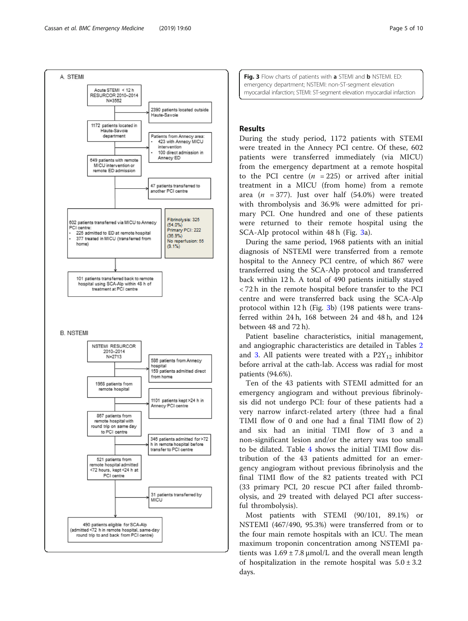

Fig. 3 Flow charts of patients with a STEMI and **b** NSTEMI. ED: emergency department; NSTEMI: non-ST-segment elevation myocardial infarction; STEMI: ST-segment elevation myocardial infarction

# Results

During the study period, 1172 patients with STEMI were treated in the Annecy PCI centre. Of these, 602 patients were transferred immediately (via MICU) from the emergency department at a remote hospital to the PCI centre  $(n = 225)$  or arrived after initial treatment in a MICU (from home) from a remote area ( $n = 377$ ). Just over half (54.0%) were treated with thrombolysis and 36.9% were admitted for primary PCI. One hundred and one of these patients were returned to their remote hospital using the SCA-Alp protocol within 48 h (Fig. 3a).

During the same period, 1968 patients with an initial diagnosis of NSTEMI were transferred from a remote hospital to the Annecy PCI centre, of which 867 were transferred using the SCA-Alp protocol and transferred back within 12 h. A total of 490 patients initially stayed < 72 h in the remote hospital before transfer to the PCI centre and were transferred back using the SCA-Alp protocol within 12 h (Fig. 3b) (198 patients were transferred within 24 h, 168 between 24 and 48 h, and 124 between 48 and 72 h).

Patient baseline characteristics, initial management, and angiographic characteristics are detailed in Tables [2](#page-5-0) and [3.](#page-6-0) All patients were treated with a  $P2Y_{12}$  inhibitor before arrival at the cath-lab. Access was radial for most patients (94.6%).

Ten of the 43 patients with STEMI admitted for an emergency angiogram and without previous fibrinolysis did not undergo PCI: four of these patients had a very narrow infarct-related artery (three had a final TIMI flow of 0 and one had a final TIMI flow of 2) and six had an initial TIMI flow of 3 and a non-significant lesion and/or the artery was too small to be dilated. Table [4](#page-6-0) shows the initial TIMI flow distribution of the 43 patients admitted for an emergency angiogram without previous fibrinolysis and the final TIMI flow of the 82 patients treated with PCI (33 primary PCI, 20 rescue PCI after failed thrombolysis, and 29 treated with delayed PCI after successful thrombolysis).

Most patients with STEMI (90/101, 89.1%) or NSTEMI (467/490, 95.3%) were transferred from or to the four main remote hospitals with an ICU. The mean maximum troponin concentration among NSTEMI patients was  $1.69 \pm 7.8 \mu$ mol/L and the overall mean length of hospitalization in the remote hospital was  $5.0 \pm 3.2$ days.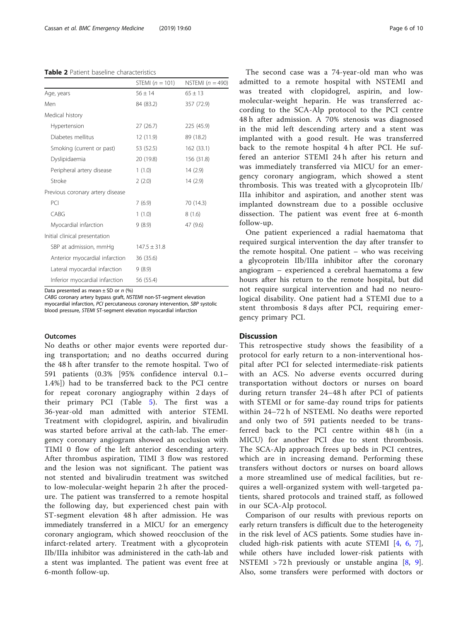### <span id="page-5-0"></span>Table 2 Patient baseline characteristics

|                                  | STEMI $(n = 101)$ | NSTEMI $(n = 490)$ |
|----------------------------------|-------------------|--------------------|
| Age, years                       | $56 \pm 14$       | $65 \pm 13$        |
| Men                              | 84 (83.2)         | 357 (72.9)         |
| Medical history                  |                   |                    |
| Hypertension                     | 27(26.7)          | 225 (45.9)         |
| Diabetes mellitus                | 12 (11.9)         | 89 (18.2)          |
| Smoking (current or past)        | 53 (52.5)         | 162(33.1)          |
| Dyslipidaemia                    | 20 (19.8)         | 156 (31.8)         |
| Peripheral artery disease        | 1(1.0)            | 14 (2.9)           |
| Stroke                           | 2(2.0)            | 14 (2.9)           |
| Previous coronary artery disease |                   |                    |
| PCI                              | 7(6.9)            | 70 (14.3)          |
| CABG                             | 1(1.0)            | 8(1.6)             |
| Myocardial infarction            | 9(8.9)            | 47 (9.6)           |
| Initial clinical presentation    |                   |                    |
| SBP at admission, mmHq           | $147.5 \pm 31.8$  |                    |
| Anterior myocardial infarction   | 36 (35.6)         |                    |
| Lateral myocardial infarction    | 9(8.9)            |                    |
| Inferior myocardial infarction   | 56 (55.4)         |                    |

Data presented as mean  $\pm$  SD or n (%)

CABG coronary artery bypass graft, NSTEMI non-ST-segment elevation myocardial infarction, PCI percutaneous coronary intervention, SBP systolic blood pressure, STEMI ST-segment elevation myocardial infarction

#### **Outcomes**

No deaths or other major events were reported during transportation; and no deaths occurred during the 48 h after transfer to the remote hospital. Two of 591 patients (0.3% [95% confidence interval 0.1– 1.4%]) had to be transferred back to the PCI centre for repeat coronary angiography within 2 days of their primary PCI (Table [5\)](#page-7-0). The first was a 36-year-old man admitted with anterior STEMI. Treatment with clopidogrel, aspirin, and bivalirudin was started before arrival at the cath-lab. The emergency coronary angiogram showed an occlusion with TIMI 0 flow of the left anterior descending artery. After thrombus aspiration, TIMI 3 flow was restored and the lesion was not significant. The patient was not stented and bivalirudin treatment was switched to low-molecular-weight heparin 2 h after the procedure. The patient was transferred to a remote hospital the following day, but experienced chest pain with ST-segment elevation 48 h after admission. He was immediately transferred in a MICU for an emergency coronary angiogram, which showed reocclusion of the infarct-related artery. Treatment with a glycoprotein IIb/IIIa inhibitor was administered in the cath-lab and a stent was implanted. The patient was event free at 6-month follow-up.

The second case was a 74-year-old man who was admitted to a remote hospital with NSTEMI and was treated with clopidogrel, aspirin, and lowmolecular-weight heparin. He was transferred according to the SCA-Alp protocol to the PCI centre 48 h after admission. A 70% stenosis was diagnosed in the mid left descending artery and a stent was implanted with a good result. He was transferred back to the remote hospital 4h after PCI. He suffered an anterior STEMI 24 h after his return and was immediately transferred via MICU for an emergency coronary angiogram, which showed a stent thrombosis. This was treated with a glycoprotein IIb/ IIIa inhibitor and aspiration, and another stent was implanted downstream due to a possible occlusive dissection. The patient was event free at 6-month follow-up.

One patient experienced a radial haematoma that required surgical intervention the day after transfer to the remote hospital. One patient – who was receiving a glycoprotein IIb/IIIa inhibitor after the coronary angiogram – experienced a cerebral haematoma a few hours after his return to the remote hospital, but did not require surgical intervention and had no neurological disability. One patient had a STEMI due to a stent thrombosis 8 days after PCI, requiring emergency primary PCI.

# Discussion

This retrospective study shows the feasibility of a protocol for early return to a non-interventional hospital after PCI for selected intermediate-risk patients with an ACS. No adverse events occurred during transportation without doctors or nurses on board during return transfer 24–48 h after PCI of patients with STEMI or for same-day round trips for patients within 24–72 h of NSTEMI. No deaths were reported and only two of 591 patients needed to be transferred back to the PCI centre within 48 h (in a MICU) for another PCI due to stent thrombosis. The SCA-Alp approach frees up beds in PCI centres, which are in increasing demand. Performing these transfers without doctors or nurses on board allows a more streamlined use of medical facilities, but requires a well-organized system with well-targeted patients, shared protocols and trained staff, as followed in our SCA-Alp protocol.

Comparison of our results with previous reports on early return transfers is difficult due to the heterogeneity in the risk level of ACS patients. Some studies have included high-risk patients with acute STEMI [[4,](#page-8-0) [6](#page-8-0), [7](#page-8-0)], while others have included lower-risk patients with NSTEMI > 72 h previously or unstable angina [\[8](#page-9-0), [9](#page-9-0)]. Also, some transfers were performed with doctors or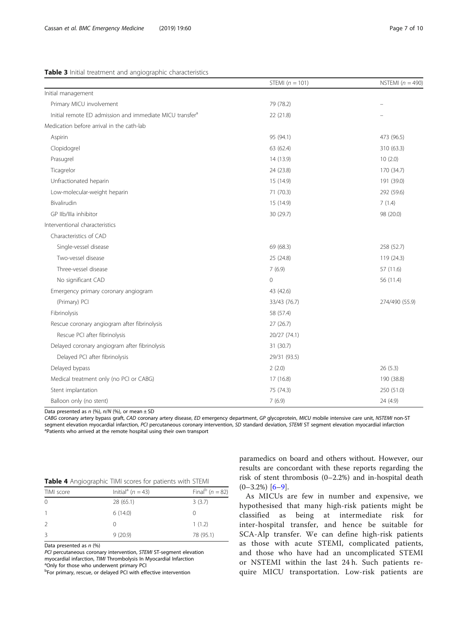# <span id="page-6-0"></span>Table 3 Initial treatment and angiographic characteristics

|                                                                      | STEMI $(n = 101)$ | NSTEMI $(n = 490)$ |
|----------------------------------------------------------------------|-------------------|--------------------|
| Initial management                                                   |                   |                    |
| Primary MICU involvement                                             | 79 (78.2)         |                    |
| Initial remote ED admission and immediate MICU transfer <sup>a</sup> | 22 (21.8)         |                    |
| Medication before arrival in the cath-lab                            |                   |                    |
| Aspirin                                                              | 95 (94.1)         | 473 (96.5)         |
| Clopidogrel                                                          | 63 (62.4)         | 310 (63.3)         |
| Prasugrel                                                            | 14 (13.9)         | 10(2.0)            |
| Ticagrelor                                                           | 24 (23.8)         | 170 (34.7)         |
| Unfractionated heparin                                               | 15 (14.9)         | 191 (39.0)         |
| Low-molecular-weight heparin                                         | 71 (70.3)         | 292 (59.6)         |
| Bivalirudin                                                          | 15 (14.9)         | 7(1.4)             |
| GP Ilb/Illa inhibitor                                                | 30 (29.7)         | 98 (20.0)          |
| Interventional characteristics                                       |                   |                    |
| Characteristics of CAD                                               |                   |                    |
| Single-vessel disease                                                | 69 (68.3)         | 258 (52.7)         |
| Two-vessel disease                                                   | 25 (24.8)         | 119 (24.3)         |
| Three-vessel disease                                                 | 7(6.9)            | 57 (11.6)          |
| No significant CAD                                                   | $\circ$           | 56 (11.4)          |
| Emergency primary coronary angiogram                                 | 43 (42.6)         |                    |
| (Primary) PCI                                                        | 33/43 (76.7)      | 274/490 (55.9)     |
| Fibrinolysis                                                         | 58 (57.4)         |                    |
| Rescue coronary angiogram after fibrinolysis                         | 27(26.7)          |                    |
| Rescue PCI after fibrinolysis                                        | 20/27 (74.1)      |                    |
| Delayed coronary angiogram after fibrinolysis                        | 31 (30.7)         |                    |
| Delayed PCI after fibrinolysis                                       | 29/31 (93.5)      |                    |
| Delayed bypass                                                       | 2(2.0)            | 26(5.3)            |
| Medical treatment only (no PCI or CABG)                              | 17 (16.8)         | 190 (38.8)         |
| Stent implantation                                                   | 75 (74.3)         | 250 (51.0)         |
| Balloon only (no stent)                                              | 7(6.9)            | 24 (4.9)           |

Data presented as  $n$  (%),  $n/N$  (%), or mean  $\pm$  SD

CABG coronary artery bypass graft, CAD coronary artery disease, ED emergency department, GP glycoprotein, MICU mobile intensive care unit, NSTEMI non-ST segment elevation myocardial infarction, PCI percutaneous coronary intervention, SD standard deviation, STEMI ST segment elevation myocardial infarction <sup>a</sup>Patients who arrived at the remote hospital using their own transport

| <b>Table 4</b> Angiographic TIMI scores for patients with STEMI |  |  |
|-----------------------------------------------------------------|--|--|
|-----------------------------------------------------------------|--|--|

| TIMI score    | Initial <sup>a</sup> ( $n = 43$ ) | Final <sup>b</sup> ( $n = 82$ ) |
|---------------|-----------------------------------|---------------------------------|
| $\circ$       | 28 (65.1)                         | 3(3.7)                          |
|               | 6(14.0)                           | $^{(1)}$                        |
| $\mathcal{L}$ | 0                                 | 1(1.2)                          |
| 3             | 9(20.9)                           | 78 (95.1)                       |

Data presented as n (%)

PCI percutaneous coronary intervention, STEMI ST-segment elevation myocardial infarction, TIMI Thrombolysis In Myocardial Infarction <sup>a</sup>Only for those who underwent primary PCI

<sup>b</sup>For primary, rescue, or delayed PCI with effective intervention

paramedics on board and others without. However, our results are concordant with these reports regarding the risk of stent thrombosis (0–2.2%) and in-hospital death  $(0-3.2\%)$   $[6-9]$  $[6-9]$  $[6-9]$  $[6-9]$ .

As MICUs are few in number and expensive, we hypothesised that many high-risk patients might be classified as being at intermediate risk for inter-hospital transfer, and hence be suitable for SCA-Alp transfer. We can define high-risk patients as those with acute STEMI, complicated patients, and those who have had an uncomplicated STEMI or NSTEMI within the last 24 h. Such patients require MICU transportation. Low-risk patients are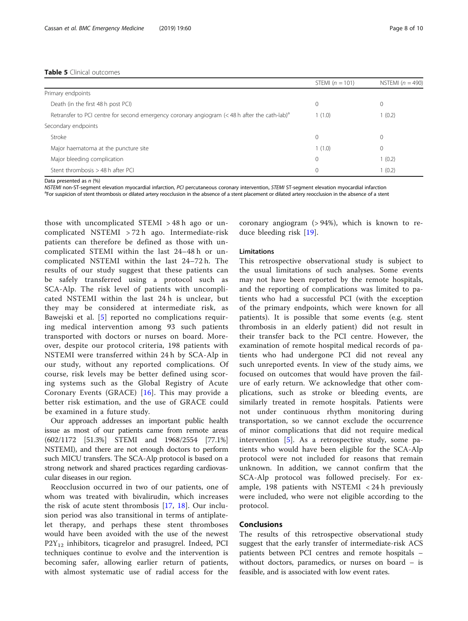#### <span id="page-7-0"></span>Table 5 Clinical outcomes

|                                                                                                           | STEMI $(n = 101)$ | NSTEMI $(n = 490)$ |
|-----------------------------------------------------------------------------------------------------------|-------------------|--------------------|
| Primary endpoints                                                                                         |                   |                    |
| Death (in the first 48 h post PCI)                                                                        | 0                 |                    |
| Retransfer to PCI centre for second emergency coronary angiogram (< 48 h after the cath-lab) <sup>a</sup> | 1(1.0)            | 1(0.2)             |
| Secondary endpoints                                                                                       |                   |                    |
| Stroke                                                                                                    | 0                 | U                  |
| Major haematoma at the puncture site                                                                      | 1(1.0)            | 0                  |
| Major bleeding complication                                                                               | 0                 | 1(0.2)             |
| Stent thrombosis > 48 h after PCI                                                                         | 0                 | 1(0.2)             |

Data presented as n (%)

NSTEMI non-ST-segment elevation myocardial infarction, PCI percutaneous coronary intervention, STEMI ST-segment elevation myocardial infarction

<sup>a</sup>For suspicion of stent thrombosis or dilated artery reocclusion in the absence of a stent placement or dilated artery reocclusion in the absence of a stent

those with uncomplicated STEMI > 48 h ago or uncomplicated NSTEMI > 72 h ago. Intermediate-risk patients can therefore be defined as those with uncomplicated STEMI within the last 24–48 h or uncomplicated NSTEMI within the last 24–72 h. The results of our study suggest that these patients can be safely transferred using a protocol such as SCA-Alp. The risk level of patients with uncomplicated NSTEMI within the last 24 h is unclear, but they may be considered at intermediate risk, as Bawejski et al. [[5](#page-8-0)] reported no complications requiring medical intervention among 93 such patients transported with doctors or nurses on board. Moreover, despite our protocol criteria, 198 patients with NSTEMI were transferred within 24 h by SCA-Alp in our study, without any reported complications. Of course, risk levels may be better defined using scoring systems such as the Global Registry of Acute Coronary Events (GRACE) [\[16\]](#page-9-0). This may provide a better risk estimation, and the use of GRACE could be examined in a future study.

Our approach addresses an important public health issue as most of our patients came from remote areas (602/1172 [51.3%] STEMI and 1968/2554 [77.1%] NSTEMI), and there are not enough doctors to perform such MICU transfers. The SCA-Alp protocol is based on a strong network and shared practices regarding cardiovascular diseases in our region.

Reocclusion occurred in two of our patients, one of whom was treated with bivalirudin, which increases the risk of acute stent thrombosis [[17,](#page-9-0) [18\]](#page-9-0). Our inclusion period was also transitional in terms of antiplatelet therapy, and perhaps these stent thromboses would have been avoided with the use of the newest  $P2Y_{12}$  inhibitors, ticagrelor and prasugrel. Indeed, PCI techniques continue to evolve and the intervention is becoming safer, allowing earlier return of patients, with almost systematic use of radial access for the

coronary angiogram (> 94%), which is known to reduce bleeding risk [[19\]](#page-9-0).

#### **Limitations**

This retrospective observational study is subject to the usual limitations of such analyses. Some events may not have been reported by the remote hospitals, and the reporting of complications was limited to patients who had a successful PCI (with the exception of the primary endpoints, which were known for all patients). It is possible that some events (e.g. stent thrombosis in an elderly patient) did not result in their transfer back to the PCI centre. However, the examination of remote hospital medical records of patients who had undergone PCI did not reveal any such unreported events. In view of the study aims, we focused on outcomes that would have proven the failure of early return. We acknowledge that other complications, such as stroke or bleeding events, are similarly treated in remote hospitals. Patients were not under continuous rhythm monitoring during transportation, so we cannot exclude the occurrence of minor complications that did not require medical intervention [[5\]](#page-8-0). As a retrospective study, some patients who would have been eligible for the SCA-Alp protocol were not included for reasons that remain unknown. In addition, we cannot confirm that the SCA-Alp protocol was followed precisely. For example, 198 patients with NSTEMI < 24 h previously were included, who were not eligible according to the protocol.

# Conclusions

The results of this retrospective observational study suggest that the early transfer of intermediate-risk ACS patients between PCI centres and remote hospitals – without doctors, paramedics, or nurses on board – is feasible, and is associated with low event rates.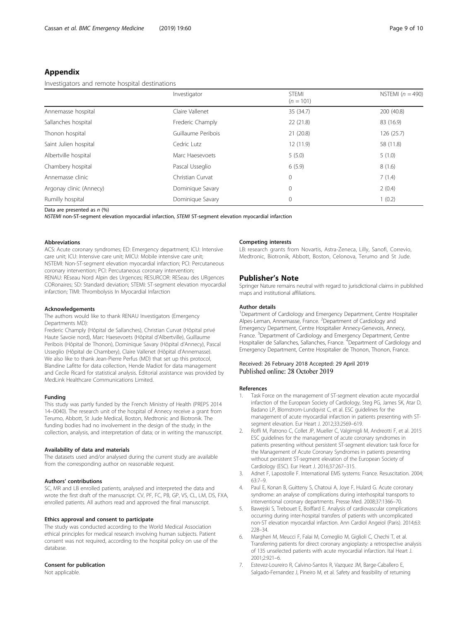# <span id="page-8-0"></span>Appendix

#### Investigators and remote hospital destinations

| Investigator       | <b>STEMI</b><br>$(n = 101)$ | NSTEMI $(n = 490)$ |
|--------------------|-----------------------------|--------------------|
| Claire Vallenet    | 35 (34.7)                   | 200 (40.8)         |
| Frederic Champly   | 22(21.8)                    | 83 (16.9)          |
| Guillaume Peribois | 21(20.8)                    | 126(25.7)          |
| Cedric Lutz        | 12(11.9)                    | 58 (11.8)          |
| Marc Haesevoets    | 5(5.0)                      | 5(1.0)             |
| Pascal Usseglio    | 6(5.9)                      | 8(1.6)             |
| Christian Curvat   | 0                           | 7(1.4)             |
| Dominique Savary   | 0                           | 2(0.4)             |
| Dominique Savary   | 0                           | 1(0.2)             |
|                    |                             |                    |

Data are presented as  $n$  (%)

NSTEMI non-ST-segment elevation myocardial infarction, STEMI ST-segment elevation myocardial infarction

#### **Abbreviations**

ACS: Acute coronary syndromes; ED: Emergency department; ICU: Intensive care unit; ICU: Intensive care unit; MICU: Mobile intensive care unit; NSTEMI: Non-ST-segment elevation myocardial infarction; PCI: Percutaneous coronary intervention; PCI: Percutaneous coronary intervention; RENAU: REseau Nord Alpin des Urgences; RESURCOR: RESeau des URgences CORonaires; SD: Standard deviation; STEMI: ST-segment elevation myocardial infarction; TIMI: Thrombolysis In Myocardial Infarction

#### Acknowledgements

The authors would like to thank RENAU Investigators (Emergency Departments MD):

Frederic Champly (Hôpital de Sallanches), Christian Curvat (Hôpital privé Haute Savoie nord), Marc Haesevoets (Hôpital d'Albertville), Guillaume Peribois (Hôpital de Thonon), Dominique Savary (Hôpital d'Annecy), Pascal Usseglio (Hôpital de Chambery), Claire Vallenet (Hôpital d'Annemasse). We also like to thank Jean-Pierre Perfus (MD) that set up this protocol, Blandine Lafitte for data collection, Hende Madiot for data management and Cecile Ricard for statistical analysis. Editorial assistance was provided by MedLink Healthcare Communications Limited.

#### Funding

This study was partly funded by the French Ministry of Health (PREPS 2014 14–0040). The research unit of the hospital of Annecy receive a grant from Terumo, Abbott, St Jude Medical, Boston, Medtronic and Biotronik. The funding bodies had no involvement in the design of the study; in the collection, analysis, and interpretation of data; or in writing the manuscript.

#### Availability of data and materials

The datasets used and/or analysed during the current study are available from the corresponding author on reasonable request.

#### Authors' contributions

SC, MR and LB enrolled patients, analysed and interpreted the data and wrote the first draft of the manuscript. CV, PF, FC, PB, GP, VS, CL, LM, DS, FXA, enrolled patients. All authors read and approved the final manuscript.

#### Ethics approval and consent to participate

The study was conducted according to the World Medical Association ethical principles for medical research involving human subjects. Patient consent was not required, according to the hospital policy on use of the database.

#### Consent for publication

Not applicable.

#### Competing interests

LB: research grants from Novartis, Astra-Zeneca, Lilly, Sanofi, Correvio, Medtronic, Biotronik, Abbott, Boston, Celonova, Terumo and St Jude.

# Publisher's Note

Springer Nature remains neutral with regard to jurisdictional claims in published maps and institutional affiliations.

#### Author details

<sup>1</sup>Department of Cardiology and Emergency Department, Centre Hospitalier Alpes-Leman, Annemasse, France. <sup>2</sup>Department of Cardiology and Emergency Department, Centre Hospitalier Annecy-Genevois, Annecy, France. <sup>3</sup>Department of Cardiology and Emergency Department, Centre Hospitalier de Sallanches, Sallanches, France. <sup>4</sup> Department of Cardiology and Emergency Department, Centre Hospitalier de Thonon, Thonon, France.

#### Received: 26 February 2018 Accepted: 29 April 2019 Published online: 28 October 2019

#### References

- Task Force on the management of ST-segment elevation acute myocardial infarction of the European Society of Cardiology, Steg PG, James SK, Atar D, Badano LP, Blomstrom-Lundqvist C, et al. ESC guidelines for the management of acute myocardial infarction in patients presenting with STsegment elevation. Eur Heart J. 2012;33:2569–619.
- 2. Roffi M, Patrono C, Collet JP, Mueller C, Valgimigli M, Andreotti F, et al. 2015 ESC guidelines for the management of acute coronary syndromes in patients presenting without persistent ST-segment elevation: task force for the Management of Acute Coronary Syndromes in patients presenting without persistent ST-segment elevation of the European Society of Cardiology (ESC). Eur Heart J. 2016;37:267–315.
- 3. Adnet F, Lapostolle F. International EMS systems: France. Resuscitation. 2004; 63:7–9.
- 4. Paul E, Konan B, Guitteny S, Chatoui A, Joye F, Hulard G. Acute coronary syndrome: an analyse of complications during interhospital transports to interventional coronary departments. Presse Med. 2008;37:1366–70.
- 5. Bawejski S, Trebouet E, Boiffard E. Analysis of cardiovascular complications occurring during inter-hospital transfers of patients with uncomplicated non-ST elevation myocardial infarction. Ann Cardiol Angeiol (Paris). 2014;63: 228–34.
- 6. Margheri M, Meucci F, Falai M, Comeglio M, Giglioli C, Chechi T, et al. Transferring patients for direct coronary angioplasty: a retrospective analysis of 135 unselected patients with acute myocardial infarction. Ital Heart J. 2001;2:921–6.
- 7. Estevez-Loureiro R, Calvino-Santos R, Vazquez JM, Barge-Caballero E, Salgado-Fernandez J, Pineiro M, et al. Safety and feasibility of returning